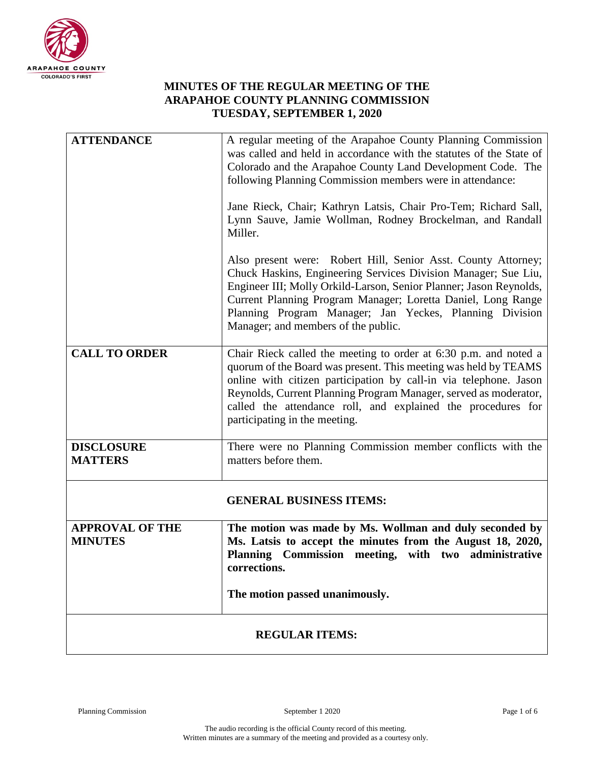

## **MINUTES OF THE REGULAR MEETING OF THE ARAPAHOE COUNTY PLANNING COMMISSION TUESDAY, SEPTEMBER 1, 2020**

| <b>ATTENDANCE</b>                        | A regular meeting of the Arapahoe County Planning Commission<br>was called and held in accordance with the statutes of the State of<br>Colorado and the Arapahoe County Land Development Code. The<br>following Planning Commission members were in attendance:                                                                                                               |
|------------------------------------------|-------------------------------------------------------------------------------------------------------------------------------------------------------------------------------------------------------------------------------------------------------------------------------------------------------------------------------------------------------------------------------|
|                                          | Jane Rieck, Chair; Kathryn Latsis, Chair Pro-Tem; Richard Sall,<br>Lynn Sauve, Jamie Wollman, Rodney Brockelman, and Randall<br>Miller.                                                                                                                                                                                                                                       |
|                                          | Also present were: Robert Hill, Senior Asst. County Attorney;<br>Chuck Haskins, Engineering Services Division Manager; Sue Liu,<br>Engineer III; Molly Orkild-Larson, Senior Planner; Jason Reynolds,<br>Current Planning Program Manager; Loretta Daniel, Long Range<br>Planning Program Manager; Jan Yeckes, Planning Division<br>Manager; and members of the public.       |
| <b>CALL TO ORDER</b>                     | Chair Rieck called the meeting to order at 6:30 p.m. and noted a<br>quorum of the Board was present. This meeting was held by TEAMS<br>online with citizen participation by call-in via telephone. Jason<br>Reynolds, Current Planning Program Manager, served as moderator,<br>called the attendance roll, and explained the procedures for<br>participating in the meeting. |
| <b>DISCLOSURE</b><br><b>MATTERS</b>      | There were no Planning Commission member conflicts with the<br>matters before them.                                                                                                                                                                                                                                                                                           |
|                                          | <b>GENERAL BUSINESS ITEMS:</b>                                                                                                                                                                                                                                                                                                                                                |
| <b>APPROVAL OF THE</b><br><b>MINUTES</b> | The motion was made by Ms. Wollman and duly seconded by<br>Ms. Latsis to accept the minutes from the August 18, 2020,<br>Planning Commission meeting, with two administrative<br>corrections.                                                                                                                                                                                 |
|                                          | The motion passed unanimously.                                                                                                                                                                                                                                                                                                                                                |
| <b>REGULAR ITEMS:</b>                    |                                                                                                                                                                                                                                                                                                                                                                               |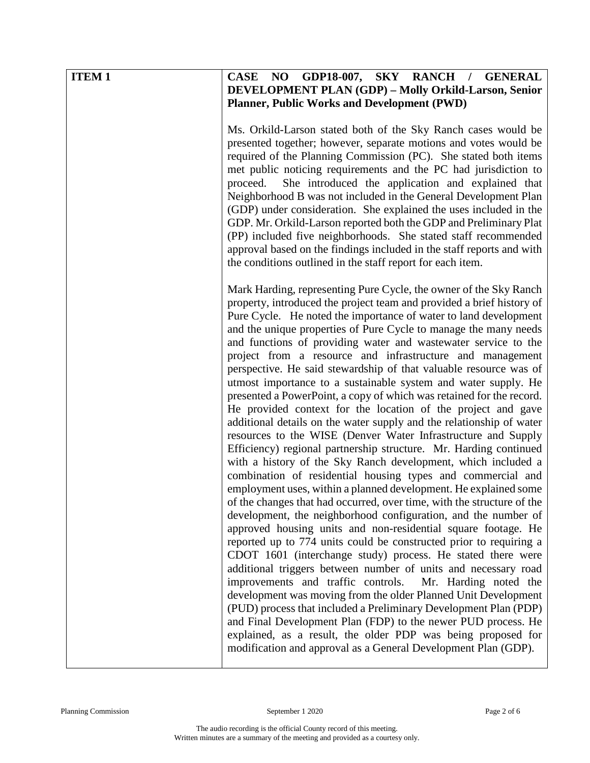| <b>ITEM1</b> | CASE NO GDP18-007, SKY RANCH / GENERAL                                                                                                                                                                                                                                                                                                                                                                                                                                                                                                                                                                                                                                                                                                                                                                                                                                                                                                                                                                                                                                                                                                                                                                                                                                                                                                                                                                                                                                                                                                                                                                                                                                                                                                                                                                                                                                    |
|--------------|---------------------------------------------------------------------------------------------------------------------------------------------------------------------------------------------------------------------------------------------------------------------------------------------------------------------------------------------------------------------------------------------------------------------------------------------------------------------------------------------------------------------------------------------------------------------------------------------------------------------------------------------------------------------------------------------------------------------------------------------------------------------------------------------------------------------------------------------------------------------------------------------------------------------------------------------------------------------------------------------------------------------------------------------------------------------------------------------------------------------------------------------------------------------------------------------------------------------------------------------------------------------------------------------------------------------------------------------------------------------------------------------------------------------------------------------------------------------------------------------------------------------------------------------------------------------------------------------------------------------------------------------------------------------------------------------------------------------------------------------------------------------------------------------------------------------------------------------------------------------------|
|              | DEVELOPMENT PLAN (GDP) - Molly Orkild-Larson, Senior                                                                                                                                                                                                                                                                                                                                                                                                                                                                                                                                                                                                                                                                                                                                                                                                                                                                                                                                                                                                                                                                                                                                                                                                                                                                                                                                                                                                                                                                                                                                                                                                                                                                                                                                                                                                                      |
|              | <b>Planner, Public Works and Development (PWD)</b>                                                                                                                                                                                                                                                                                                                                                                                                                                                                                                                                                                                                                                                                                                                                                                                                                                                                                                                                                                                                                                                                                                                                                                                                                                                                                                                                                                                                                                                                                                                                                                                                                                                                                                                                                                                                                        |
|              | Ms. Orkild-Larson stated both of the Sky Ranch cases would be<br>presented together; however, separate motions and votes would be<br>required of the Planning Commission (PC). She stated both items<br>met public noticing requirements and the PC had jurisdiction to<br>She introduced the application and explained that<br>proceed.<br>Neighborhood B was not included in the General Development Plan<br>(GDP) under consideration. She explained the uses included in the<br>GDP. Mr. Orkild-Larson reported both the GDP and Preliminary Plat<br>(PP) included five neighborhoods. She stated staff recommended<br>approval based on the findings included in the staff reports and with<br>the conditions outlined in the staff report for each item.<br>Mark Harding, representing Pure Cycle, the owner of the Sky Ranch                                                                                                                                                                                                                                                                                                                                                                                                                                                                                                                                                                                                                                                                                                                                                                                                                                                                                                                                                                                                                                       |
|              | property, introduced the project team and provided a brief history of<br>Pure Cycle. He noted the importance of water to land development<br>and the unique properties of Pure Cycle to manage the many needs<br>and functions of providing water and wastewater service to the<br>project from a resource and infrastructure and management<br>perspective. He said stewardship of that valuable resource was of<br>utmost importance to a sustainable system and water supply. He<br>presented a PowerPoint, a copy of which was retained for the record.<br>He provided context for the location of the project and gave<br>additional details on the water supply and the relationship of water<br>resources to the WISE (Denver Water Infrastructure and Supply<br>Efficiency) regional partnership structure. Mr. Harding continued<br>with a history of the Sky Ranch development, which included a<br>combination of residential housing types and commercial and<br>employment uses, within a planned development. He explained some<br>of the changes that had occurred, over time, with the structure of the<br>development, the neighborhood configuration, and the number of<br>approved housing units and non-residential square footage. He<br>reported up to 774 units could be constructed prior to requiring a<br>CDOT 1601 (interchange study) process. He stated there were<br>additional triggers between number of units and necessary road<br>improvements and traffic controls.<br>Mr. Harding noted the<br>development was moving from the older Planned Unit Development<br>(PUD) process that included a Preliminary Development Plan (PDP)<br>and Final Development Plan (FDP) to the newer PUD process. He<br>explained, as a result, the older PDP was being proposed for<br>modification and approval as a General Development Plan (GDP). |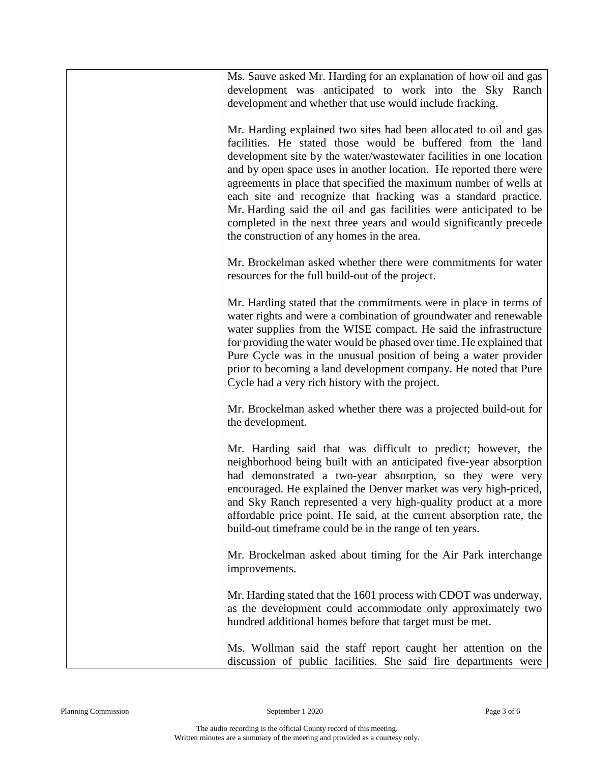| Ms. Sauve asked Mr. Harding for an explanation of how oil and gas<br>development was anticipated to work into the Sky Ranch<br>development and whether that use would include fracking.                                                                                                                                                                                                                                                                                                                                                                                                                       |
|---------------------------------------------------------------------------------------------------------------------------------------------------------------------------------------------------------------------------------------------------------------------------------------------------------------------------------------------------------------------------------------------------------------------------------------------------------------------------------------------------------------------------------------------------------------------------------------------------------------|
| Mr. Harding explained two sites had been allocated to oil and gas<br>facilities. He stated those would be buffered from the land<br>development site by the water/wastewater facilities in one location<br>and by open space uses in another location. He reported there were<br>agreements in place that specified the maximum number of wells at<br>each site and recognize that fracking was a standard practice.<br>Mr. Harding said the oil and gas facilities were anticipated to be<br>completed in the next three years and would significantly precede<br>the construction of any homes in the area. |
| Mr. Brockelman asked whether there were commitments for water<br>resources for the full build-out of the project.                                                                                                                                                                                                                                                                                                                                                                                                                                                                                             |
| Mr. Harding stated that the commitments were in place in terms of<br>water rights and were a combination of groundwater and renewable<br>water supplies from the WISE compact. He said the infrastructure<br>for providing the water would be phased over time. He explained that<br>Pure Cycle was in the unusual position of being a water provider<br>prior to becoming a land development company. He noted that Pure<br>Cycle had a very rich history with the project.                                                                                                                                  |
| Mr. Brockelman asked whether there was a projected build-out for<br>the development.                                                                                                                                                                                                                                                                                                                                                                                                                                                                                                                          |
| Mr. Harding said that was difficult to predict; however, the<br>neighborhood being built with an anticipated five-year absorption<br>had demonstrated a two-year absorption, so they were very<br>encouraged. He explained the Denver market was very high-priced,<br>and Sky Ranch represented a very high-quality product at a more<br>affordable price point. He said, at the current absorption rate, the<br>build-out time frame could be in the range of ten years.                                                                                                                                     |
| Mr. Brockelman asked about timing for the Air Park interchange<br>improvements.                                                                                                                                                                                                                                                                                                                                                                                                                                                                                                                               |
| Mr. Harding stated that the 1601 process with CDOT was underway,<br>as the development could accommodate only approximately two<br>hundred additional homes before that target must be met.                                                                                                                                                                                                                                                                                                                                                                                                                   |
| Ms. Wollman said the staff report caught her attention on the<br>discussion of public facilities. She said fire departments were                                                                                                                                                                                                                                                                                                                                                                                                                                                                              |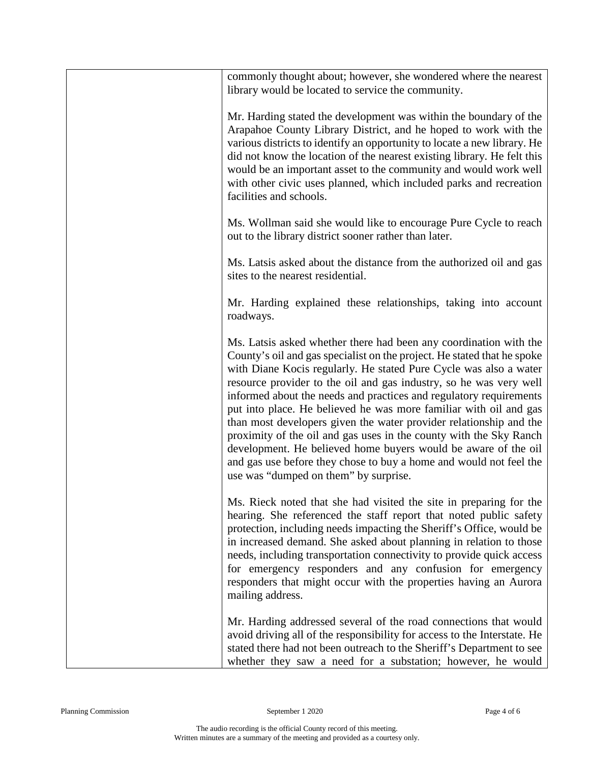| commonly thought about; however, she wondered where the nearest<br>library would be located to service the community.                                                                                                                                                                                                                                                                                                                                                                                                                                                                                                                                                                                                                                           |
|-----------------------------------------------------------------------------------------------------------------------------------------------------------------------------------------------------------------------------------------------------------------------------------------------------------------------------------------------------------------------------------------------------------------------------------------------------------------------------------------------------------------------------------------------------------------------------------------------------------------------------------------------------------------------------------------------------------------------------------------------------------------|
| Mr. Harding stated the development was within the boundary of the<br>Arapahoe County Library District, and he hoped to work with the<br>various districts to identify an opportunity to locate a new library. He<br>did not know the location of the nearest existing library. He felt this<br>would be an important asset to the community and would work well<br>with other civic uses planned, which included parks and recreation<br>facilities and schools.                                                                                                                                                                                                                                                                                                |
| Ms. Wollman said she would like to encourage Pure Cycle to reach<br>out to the library district sooner rather than later.                                                                                                                                                                                                                                                                                                                                                                                                                                                                                                                                                                                                                                       |
| Ms. Latsis asked about the distance from the authorized oil and gas<br>sites to the nearest residential.                                                                                                                                                                                                                                                                                                                                                                                                                                                                                                                                                                                                                                                        |
| Mr. Harding explained these relationships, taking into account<br>roadways.                                                                                                                                                                                                                                                                                                                                                                                                                                                                                                                                                                                                                                                                                     |
| Ms. Latsis asked whether there had been any coordination with the<br>County's oil and gas specialist on the project. He stated that he spoke<br>with Diane Kocis regularly. He stated Pure Cycle was also a water<br>resource provider to the oil and gas industry, so he was very well<br>informed about the needs and practices and regulatory requirements<br>put into place. He believed he was more familiar with oil and gas<br>than most developers given the water provider relationship and the<br>proximity of the oil and gas uses in the county with the Sky Ranch<br>development. He believed home buyers would be aware of the oil<br>and gas use before they chose to buy a home and would not feel the<br>use was "dumped on them" by surprise. |
| Ms. Rieck noted that she had visited the site in preparing for the<br>hearing. She referenced the staff report that noted public safety<br>protection, including needs impacting the Sheriff's Office, would be<br>in increased demand. She asked about planning in relation to those<br>needs, including transportation connectivity to provide quick access<br>for emergency responders and any confusion for emergency<br>responders that might occur with the properties having an Aurora<br>mailing address.                                                                                                                                                                                                                                               |
| Mr. Harding addressed several of the road connections that would<br>avoid driving all of the responsibility for access to the Interstate. He<br>stated there had not been outreach to the Sheriff's Department to see<br>whether they saw a need for a substation; however, he would                                                                                                                                                                                                                                                                                                                                                                                                                                                                            |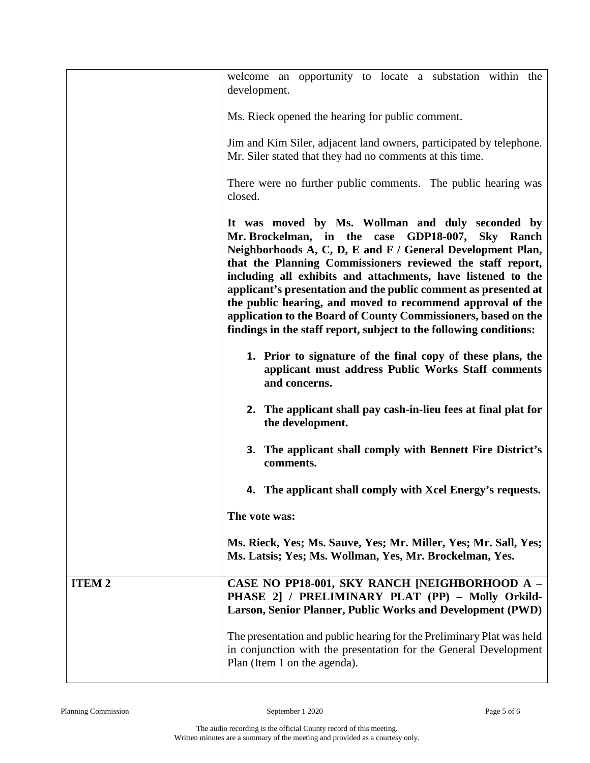|              | welcome an opportunity to locate a substation within the<br>development.                                                                                                                                                                                                                                                                                                                                                                                                                                                                                                  |
|--------------|---------------------------------------------------------------------------------------------------------------------------------------------------------------------------------------------------------------------------------------------------------------------------------------------------------------------------------------------------------------------------------------------------------------------------------------------------------------------------------------------------------------------------------------------------------------------------|
|              | Ms. Rieck opened the hearing for public comment.                                                                                                                                                                                                                                                                                                                                                                                                                                                                                                                          |
|              | Jim and Kim Siler, adjacent land owners, participated by telephone.<br>Mr. Siler stated that they had no comments at this time.                                                                                                                                                                                                                                                                                                                                                                                                                                           |
|              | There were no further public comments. The public hearing was<br>closed.                                                                                                                                                                                                                                                                                                                                                                                                                                                                                                  |
|              | It was moved by Ms. Wollman and duly seconded by<br>Mr. Brockelman, in the case GDP18-007, Sky Ranch<br>Neighborhoods A, C, D, E and F / General Development Plan,<br>that the Planning Commissioners reviewed the staff report,<br>including all exhibits and attachments, have listened to the<br>applicant's presentation and the public comment as presented at<br>the public hearing, and moved to recommend approval of the<br>application to the Board of County Commissioners, based on the<br>findings in the staff report, subject to the following conditions: |
|              | 1. Prior to signature of the final copy of these plans, the<br>applicant must address Public Works Staff comments<br>and concerns.                                                                                                                                                                                                                                                                                                                                                                                                                                        |
|              | 2. The applicant shall pay cash-in-lieu fees at final plat for<br>the development.                                                                                                                                                                                                                                                                                                                                                                                                                                                                                        |
|              | <b>3.</b> The applicant shall comply with Bennett Fire District's<br>comments.                                                                                                                                                                                                                                                                                                                                                                                                                                                                                            |
|              | 4. The applicant shall comply with Xcel Energy's requests.                                                                                                                                                                                                                                                                                                                                                                                                                                                                                                                |
|              | The vote was:                                                                                                                                                                                                                                                                                                                                                                                                                                                                                                                                                             |
|              | Ms. Rieck, Yes; Ms. Sauve, Yes; Mr. Miller, Yes; Mr. Sall, Yes;<br>Ms. Latsis; Yes; Ms. Wollman, Yes, Mr. Brockelman, Yes.                                                                                                                                                                                                                                                                                                                                                                                                                                                |
| <b>ITEM2</b> | CASE NO PP18-001, SKY RANCH [NEIGHBORHOOD A -<br>PHASE 2] / PRELIMINARY PLAT (PP) - Molly Orkild-<br>Larson, Senior Planner, Public Works and Development (PWD)                                                                                                                                                                                                                                                                                                                                                                                                           |
|              | The presentation and public hearing for the Preliminary Plat was held<br>in conjunction with the presentation for the General Development<br>Plan (Item 1 on the agenda).                                                                                                                                                                                                                                                                                                                                                                                                 |